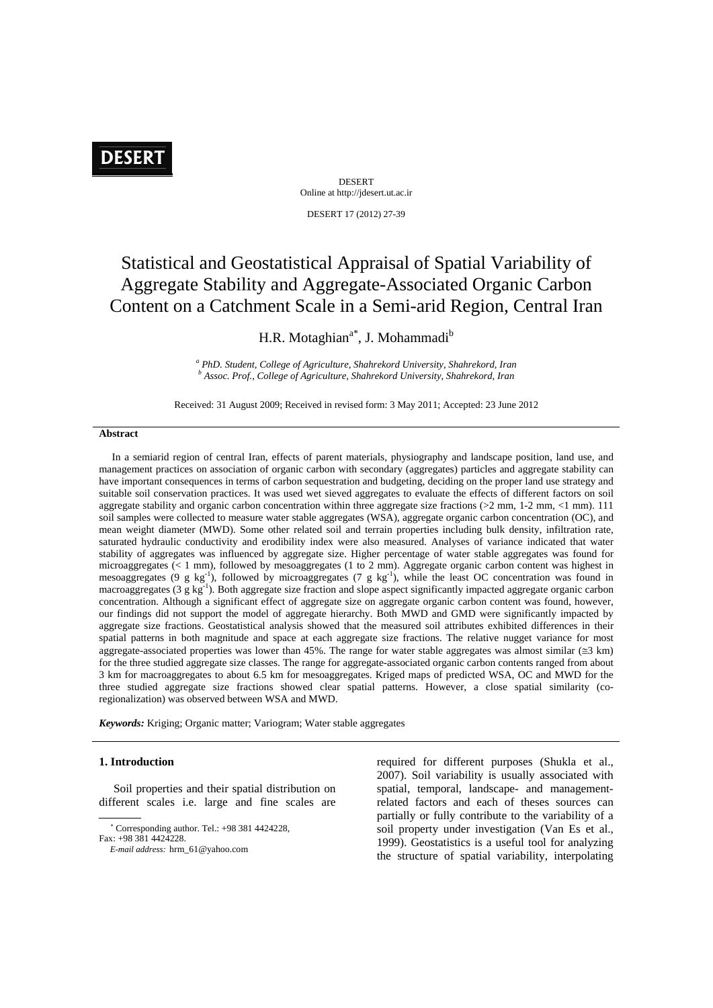# **DESERT**

DESERT Online at http://jdesert.ut.ac.ir

DESERT 17 (2012) 27-39

# Statistical and Geostatistical Appraisal of Spatial Variability of Aggregate Stability and Aggregate-Associated Organic Carbon Content on a Catchment Scale in a Semi-arid Region, Central Iran

H.R. Motaghian<sup>a\*</sup>, J. Mohammadi<sup>b</sup>

<sup>a</sup> PhD. Student, College of Agriculture, Shahrekord University, Shahrekord, Iran *b Assoc. Prof., College of Agriculture, Shahrekord University, Shahrekord, Iran* 

Received: 31 August 2009; Received in revised form: 3 May 2011; Accepted: 23 June 2012

#### **Abstract**

 In a semiarid region of central Iran, effects of parent materials, physiography and landscape position, land use, and management practices on association of organic carbon with secondary (aggregates) particles and aggregate stability can have important consequences in terms of carbon sequestration and budgeting, deciding on the proper land use strategy and suitable soil conservation practices. It was used wet sieved aggregates to evaluate the effects of different factors on soil aggregate stability and organic carbon concentration within three aggregate size fractions (>2 mm, 1-2 mm, <1 mm). 111 soil samples were collected to measure water stable aggregates (WSA), aggregate organic carbon concentration (OC), and mean weight diameter (MWD). Some other related soil and terrain properties including bulk density, infiltration rate, saturated hydraulic conductivity and erodibility index were also measured. Analyses of variance indicated that water stability of aggregates was influenced by aggregate size. Higher percentage of water stable aggregates was found for microaggregates (< 1 mm), followed by mesoaggregates (1 to 2 mm). Aggregate organic carbon content was highest in mesoaggregates (9 g kg<sup>-1</sup>), followed by microaggregates (7 g kg<sup>-1</sup>), while the least OC concentration was found in macroaggregates (3 g kg<sup>-1</sup>). Both aggregate size fraction and slope aspect significantly impacted aggregate organic carbon concentration. Although a significant effect of aggregate size on aggregate organic carbon content was found, however, our findings did not support the model of aggregate hierarchy. Both MWD and GMD were significantly impacted by aggregate size fractions. Geostatistical analysis showed that the measured soil attributes exhibited differences in their spatial patterns in both magnitude and space at each aggregate size fractions. The relative nugget variance for most aggregate-associated properties was lower than 45%. The range for water stable aggregates was almost similar ( $\leq$ 3 km) for the three studied aggregate size classes. The range for aggregate-associated organic carbon contents ranged from about 3 km for macroaggregates to about 6.5 km for mesoaggregates. Kriged maps of predicted WSA, OC and MWD for the three studied aggregate size fractions showed clear spatial patterns. However, a close spatial similarity (coregionalization) was observed between WSA and MWD.

*Keywords:* Kriging; Organic matter; Variogram; Water stable aggregates

#### **1. Introduction**

 Soil properties and their spatial distribution on different scales i.e. large and fine scales are

required for different purposes (Shukla et al., 2007). Soil variability is usually associated with spatial, temporal, landscape- and managementrelated factors and each of theses sources can partially or fully contribute to the variability of a soil property under investigation (Van Es et al., 1999). Geostatistics is a useful tool for analyzing the structure of spatial variability, interpolating

 Corresponding author. Tel.: +98 381 4424228, Fax: +98 381 4424228.

*E-mail address:* hrm\_61@yahoo.com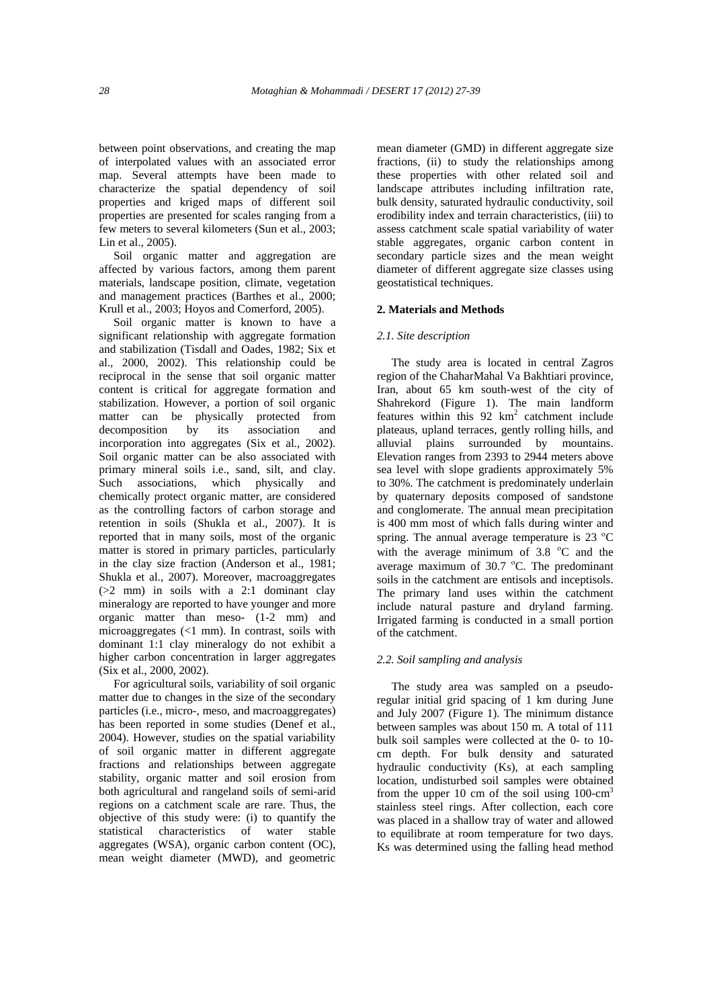between point observations, and creating the map of interpolated values with an associated error map. Several attempts have been made to characterize the spatial dependency of soil properties and kriged maps of different soil properties are presented for scales ranging from a few meters to several kilometers (Sun et al., 2003; Lin et al., 2005).

 Soil organic matter and aggregation are affected by various factors, among them parent materials, landscape position, climate, vegetation and management practices (Barthes et al., 2000; Krull et al., 2003; Hoyos and Comerford, 2005).

 Soil organic matter is known to have a significant relationship with aggregate formation and stabilization (Tisdall and Oades, 1982; Six et al., 2000, 2002). This relationship could be reciprocal in the sense that soil organic matter content is critical for aggregate formation and stabilization. However, a portion of soil organic matter can be physically protected from decomposition by its association and incorporation into aggregates (Six et al., 2002). Soil organic matter can be also associated with primary mineral soils i.e., sand, silt, and clay. Such associations, which physically and chemically protect organic matter, are considered as the controlling factors of carbon storage and retention in soils (Shukla et al., 2007). It is reported that in many soils, most of the organic matter is stored in primary particles, particularly in the clay size fraction (Anderson et al., 1981; Shukla et al., 2007). Moreover, macroaggregates (>2 mm) in soils with a 2:1 dominant clay mineralogy are reported to have younger and more organic matter than meso- (1-2 mm) and microaggregates (<1 mm). In contrast, soils with dominant 1:1 clay mineralogy do not exhibit a higher carbon concentration in larger aggregates (Six et al., 2000, 2002).

 For agricultural soils, variability of soil organic matter due to changes in the size of the secondary particles (i.e., micro-, meso, and macroaggregates) has been reported in some studies (Denef et al., 2004). However, studies on the spatial variability of soil organic matter in different aggregate fractions and relationships between aggregate stability, organic matter and soil erosion from both agricultural and rangeland soils of semi-arid regions on a catchment scale are rare. Thus, the objective of this study were: (i) to quantify the statistical characteristics of water stable aggregates (WSA), organic carbon content (OC), mean weight diameter (MWD), and geometric mean diameter (GMD) in different aggregate size fractions, (ii) to study the relationships among these properties with other related soil and landscape attributes including infiltration rate, bulk density, saturated hydraulic conductivity, soil erodibility index and terrain characteristics, (iii) to assess catchment scale spatial variability of water stable aggregates, organic carbon content in secondary particle sizes and the mean weight diameter of different aggregate size classes using geostatistical techniques.

## **2. Materials and Methods**

### *2.1. Site description*

 The study area is located in central Zagros region of the ChaharMahal Va Bakhtiari province, Iran, about 65 km south-west of the city of Shahrekord (Figure 1). The main landform features within this 92 km<sup>2</sup> catchment include plateaus, upland terraces, gently rolling hills, and alluvial plains surrounded by mountains. Elevation ranges from 2393 to 2944 meters above sea level with slope gradients approximately 5% to 30%. The catchment is predominately underlain by quaternary deposits composed of sandstone and conglomerate. The annual mean precipitation is 400 mm most of which falls during winter and spring. The annual average temperature is 23 °C with the average minimum of  $3.8 \text{ °C}$  and the average maximum of 30.7 C. The predominant soils in the catchment are entisols and inceptisols. The primary land uses within the catchment include natural pasture and dryland farming. Irrigated farming is conducted in a small portion of the catchment.

## *2.2. Soil sampling and analysis*

 The study area was sampled on a pseudoregular initial grid spacing of 1 km during June and July 2007 (Figure 1). The minimum distance between samples was about 150 m. A total of 111 bulk soil samples were collected at the 0- to 10 cm depth. For bulk density and saturated hydraulic conductivity (Ks), at each sampling location, undisturbed soil samples were obtained from the upper 10 cm of the soil using  $100$ -cm<sup>3</sup> stainless steel rings. After collection, each core was placed in a shallow tray of water and allowed to equilibrate at room temperature for two days. Ks was determined using the falling head method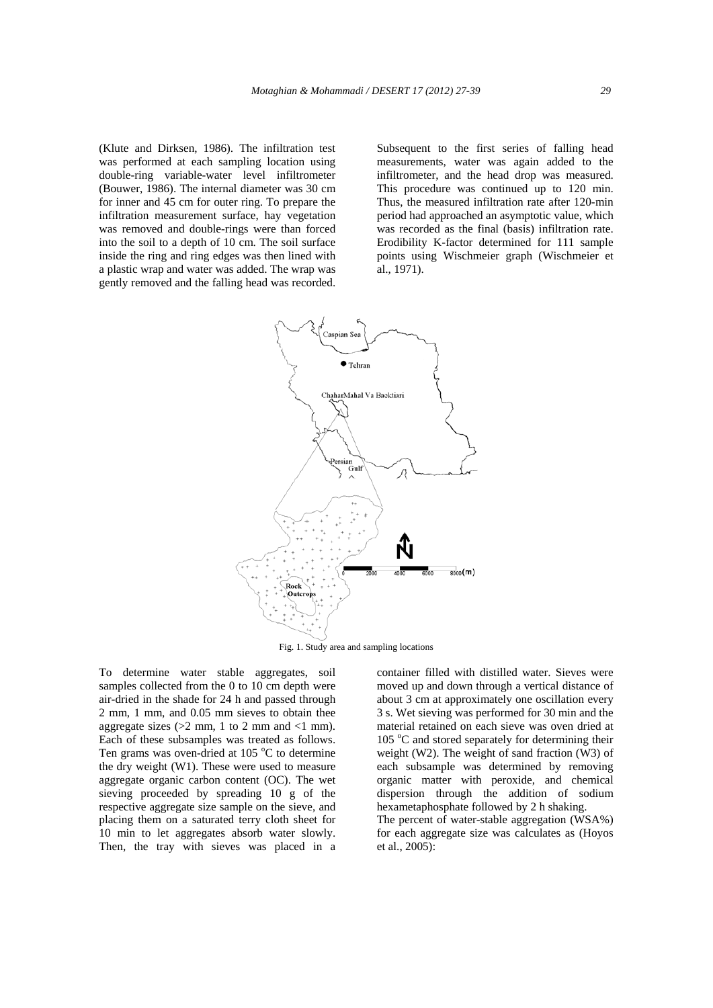(Klute and Dirksen, 1986). The infiltration test was performed at each sampling location using double-ring variable-water level infiltrometer (Bouwer, 1986). The internal diameter was 30 cm for inner and 45 cm for outer ring. To prepare the infiltration measurement surface, hay vegetation was removed and double-rings were than forced into the soil to a depth of 10 cm. The soil surface inside the ring and ring edges was then lined with a plastic wrap and water was added. The wrap was gently removed and the falling head was recorded.

Subsequent to the first series of falling head measurements, water was again added to the infiltrometer, and the head drop was measured. This procedure was continued up to 120 min. Thus, the measured infiltration rate after 120-min period had approached an asymptotic value, which was recorded as the final (basis) infiltration rate. Erodibility K-factor determined for 111 sample points using Wischmeier graph (Wischmeier et al., 1971).



Fig. 1. Study area and sampling locations

To determine water stable aggregates, soil samples collected from the 0 to 10 cm depth were air-dried in the shade for 24 h and passed through 2 mm, 1 mm, and 0.05 mm sieves to obtain thee aggregate sizes ( $>2$  mm, 1 to 2 mm and  $<1$  mm). Each of these subsamples was treated as follows. Ten grams was oven-dried at 105 °C to determine the dry weight (W1). These were used to measure aggregate organic carbon content (OC). The wet sieving proceeded by spreading 10 g of the respective aggregate size sample on the sieve, and placing them on a saturated terry cloth sheet for 10 min to let aggregates absorb water slowly. Then, the tray with sieves was placed in a

container filled with distilled water. Sieves were moved up and down through a vertical distance of about 3 cm at approximately one oscillation every 3 s. Wet sieving was performed for 30 min and the material retained on each sieve was oven dried at 105 °C and stored separately for determining their weight (W2). The weight of sand fraction (W3) of each subsample was determined by removing organic matter with peroxide, and chemical dispersion through the addition of sodium hexametaphosphate followed by 2 h shaking. The percent of water-stable aggregation (WSA%)

for each aggregate size was calculates as (Hoyos et al., 2005):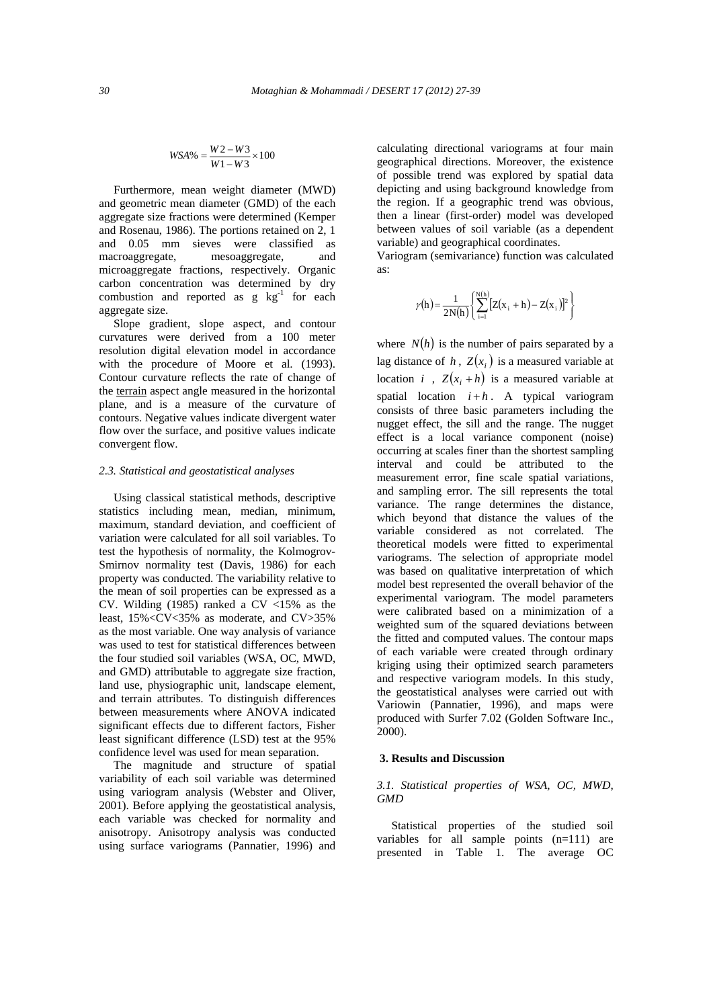$$
WSA\% = \frac{W2 - W3}{W1 - W3} \times 100
$$

 Furthermore, mean weight diameter (MWD) and geometric mean diameter (GMD) of the each aggregate size fractions were determined (Kemper and Rosenau, 1986). The portions retained on 2, 1 and 0.05 mm sieves were classified as macroaggregate, mesoaggregate, and microaggregate fractions, respectively. Organic carbon concentration was determined by dry combustion and reported as  $g \text{ kg}^{-1}$  for each aggregate size.

 Slope gradient, slope aspect, and contour curvatures were derived from a 100 meter resolution digital elevation model in accordance with the procedure of Moore et al. (1993). Contour curvature reflects the rate of change of the terrain aspect angle measured in the horizontal plane, and is a measure of the curvature of contours. Negative values indicate divergent water flow over the surface, and positive values indicate convergent flow.

### *2.3. Statistical and geostatistical analyses*

 Using classical statistical methods, descriptive statistics including mean, median, minimum, maximum, standard deviation, and coefficient of variation were calculated for all soil variables. To test the hypothesis of normality, the Kolmogrov-Smirnov normality test (Davis, 1986) for each property was conducted. The variability relative to the mean of soil properties can be expressed as a CV. Wilding (1985) ranked a CV  $\langle 15\% \rangle$  as the least, 15%<CV<35% as moderate, and CV>35% as the most variable. One way analysis of variance was used to test for statistical differences between the four studied soil variables (WSA, OC, MWD, and GMD) attributable to aggregate size fraction, land use, physiographic unit, landscape element, and terrain attributes. To distinguish differences between measurements where ANOVA indicated significant effects due to different factors, Fisher least significant difference (LSD) test at the 95% confidence level was used for mean separation.

 The magnitude and structure of spatial variability of each soil variable was determined using variogram analysis (Webster and Oliver, 2001). Before applying the geostatistical analysis, each variable was checked for normality and anisotropy. Anisotropy analysis was conducted using surface variograms (Pannatier, 1996) and calculating directional variograms at four main geographical directions. Moreover, the existence of possible trend was explored by spatial data depicting and using background knowledge from the region. If a geographic trend was obvious, then a linear (first-order) model was developed between values of soil variable (as a dependent variable) and geographical coordinates.

Variogram (semivariance) function was calculated as:

$$
\gamma(h) = \frac{1}{2N(h)} \left\{ \sum_{i=1}^{N(h)} [Z(x_i + h) - Z(x_i)]^2 \right\}
$$

where  $N(h)$  is the number of pairs separated by a lag distance of *h*,  $Z(x_i)$  is a measured variable at location *i*,  $Z(x_i + h)$  is a measured variable at spatial location  $i + h$ . A typical variogram consists of three basic parameters including the nugget effect, the sill and the range. The nugget effect is a local variance component (noise) occurring at scales finer than the shortest sampling interval and could be attributed to the measurement error, fine scale spatial variations, and sampling error. The sill represents the total variance. The range determines the distance, which beyond that distance the values of the variable considered as not correlated. The theoretical models were fitted to experimental variograms. The selection of appropriate model was based on qualitative interpretation of which model best represented the overall behavior of the experimental variogram. The model parameters were calibrated based on a minimization of a weighted sum of the squared deviations between the fitted and computed values. The contour maps of each variable were created through ordinary kriging using their optimized search parameters and respective variogram models. In this study, the geostatistical analyses were carried out with Variowin (Pannatier, 1996), and maps were produced with Surfer 7.02 (Golden Software Inc., 2000).

### **3. Results and Discussion**

## *3.1. Statistical properties of WSA, OC, MWD, GMD*

 Statistical properties of the studied soil variables for all sample points (n=111) are presented in Table 1. The average OC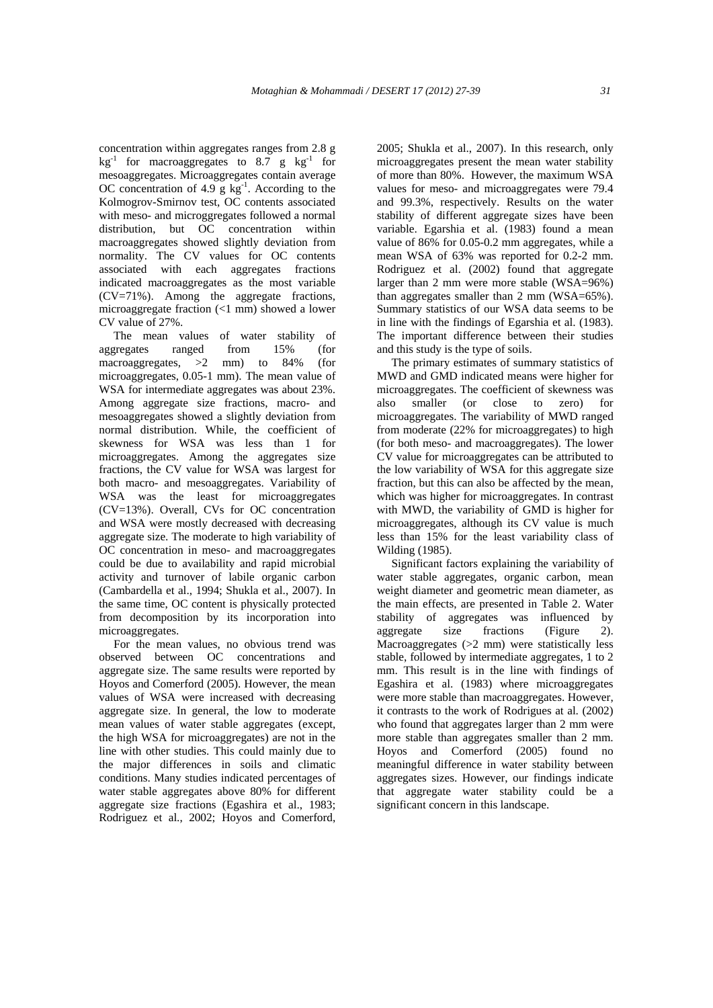concentration within aggregates ranges from 2.8 g  $kg<sup>-1</sup>$  for macroaggregates to 8.7 g  $kg<sup>-1</sup>$  for mesoaggregates. Microaggregates contain average OC concentration of 4.9  $g kg^{-1}$ . According to the Kolmogrov-Smirnov test, OC contents associated with meso- and microggregates followed a normal distribution, but OC concentration within macroaggregates showed slightly deviation from normality. The CV values for OC contents associated with each aggregates fractions indicated macroaggregates as the most variable (CV=71%). Among the aggregate fractions, microaggregate fraction (<1 mm) showed a lower CV value of 27%.

 The mean values of water stability of aggregates ranged from 15% (for macroaggregates,  $>2$  mm) to 84% (for microaggregates, 0.05-1 mm). The mean value of WSA for intermediate aggregates was about 23%. Among aggregate size fractions, macro- and mesoaggregates showed a slightly deviation from normal distribution. While, the coefficient of skewness for WSA was less than 1 for microaggregates. Among the aggregates size fractions, the CV value for WSA was largest for both macro- and mesoaggregates. Variability of WSA was the least for microaggregates (CV=13%). Overall, CVs for OC concentration and WSA were mostly decreased with decreasing aggregate size. The moderate to high variability of OC concentration in meso- and macroaggregates could be due to availability and rapid microbial activity and turnover of labile organic carbon (Cambardella et al., 1994; Shukla et al., 2007). In the same time, OC content is physically protected from decomposition by its incorporation into microaggregates.

 For the mean values, no obvious trend was observed between OC concentrations and aggregate size. The same results were reported by Hoyos and Comerford (2005). However, the mean values of WSA were increased with decreasing aggregate size. In general, the low to moderate mean values of water stable aggregates (except, the high WSA for microaggregates) are not in the line with other studies. This could mainly due to the major differences in soils and climatic conditions. Many studies indicated percentages of water stable aggregates above 80% for different aggregate size fractions (Egashira et al., 1983; Rodriguez et al., 2002; Hoyos and Comerford, 2005; Shukla et al., 2007). In this research, only microaggregates present the mean water stability of more than 80%. However, the maximum WSA values for meso- and microaggregates were 79.4 and 99.3%, respectively. Results on the water stability of different aggregate sizes have been variable. Egarshia et al. (1983) found a mean value of 86% for 0.05-0.2 mm aggregates, while a mean WSA of 63% was reported for 0.2-2 mm. Rodriguez et al. (2002) found that aggregate larger than 2 mm were more stable (WSA=96%) than aggregates smaller than 2 mm (WSA=65%). Summary statistics of our WSA data seems to be in line with the findings of Egarshia et al. (1983). The important difference between their studies and this study is the type of soils.

 The primary estimates of summary statistics of MWD and GMD indicated means were higher for microaggregates. The coefficient of skewness was also smaller (or close to zero) for microaggregates. The variability of MWD ranged from moderate (22% for microaggregates) to high (for both meso- and macroaggregates). The lower CV value for microaggregates can be attributed to the low variability of WSA for this aggregate size fraction, but this can also be affected by the mean, which was higher for microaggregates. In contrast with MWD, the variability of GMD is higher for microaggregates, although its CV value is much less than 15% for the least variability class of Wilding (1985).

 Significant factors explaining the variability of water stable aggregates, organic carbon, mean weight diameter and geometric mean diameter, as the main effects, are presented in Table 2. Water stability of aggregates was influenced by aggregate size fractions (Figure 2). Macroaggregates (>2 mm) were statistically less stable, followed by intermediate aggregates, 1 to 2 mm. This result is in the line with findings of Egashira et al. (1983) where microaggregates were more stable than macroaggregates. However, it contrasts to the work of Rodrigues at al. (2002) who found that aggregates larger than 2 mm were more stable than aggregates smaller than 2 mm. Hoyos and Comerford (2005) found no meaningful difference in water stability between aggregates sizes. However, our findings indicate that aggregate water stability could be a significant concern in this landscape.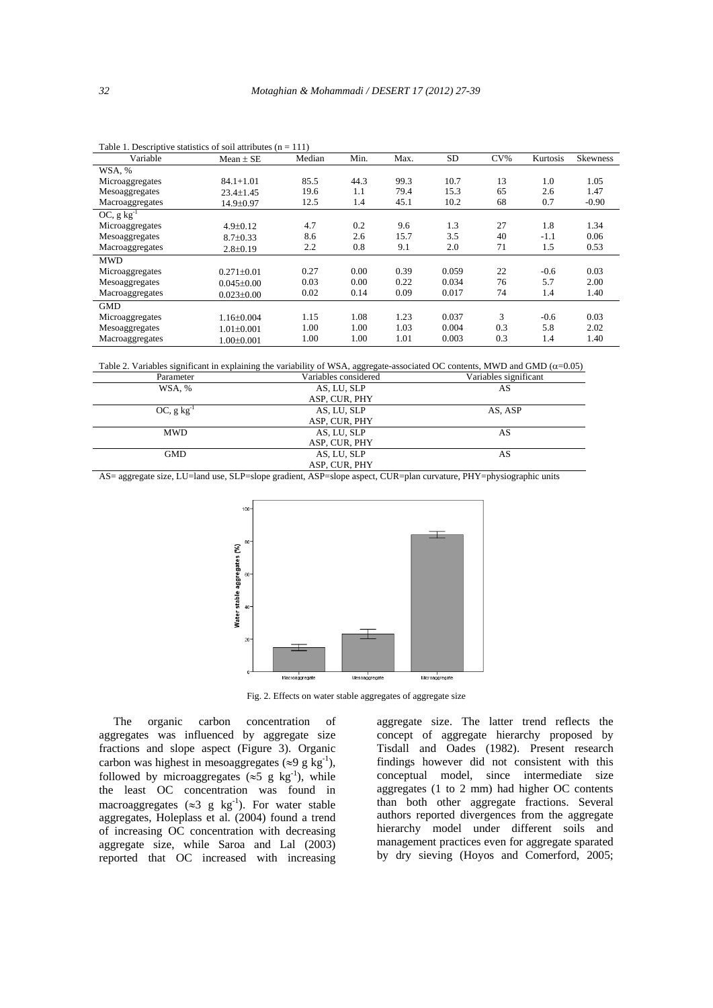| Variable                | Mean $\pm$ SE    | Median | Min. | Max. | SD.   | $CV\%$ | Kurtosis | <b>Skewness</b> |
|-------------------------|------------------|--------|------|------|-------|--------|----------|-----------------|
| WSA, %                  |                  |        |      |      |       |        |          |                 |
| Microaggregates         | $84.1 + 1.01$    | 85.5   | 44.3 | 99.3 | 10.7  | 13     | 1.0      | 1.05            |
| Mesoaggregates          | $23.4 \pm 1.45$  | 19.6   | 1.1  | 79.4 | 15.3  | 65     | 2.6      | 1.47            |
| Macroaggregates         | 14.9±0.97        | 12.5   | 1.4  | 45.1 | 10.2  | 68     | 0.7      | $-0.90$         |
| OC, $g \text{ kg}^{-1}$ |                  |        |      |      |       |        |          |                 |
| Microaggregates         | $4.9 \pm 0.12$   | 4.7    | 0.2  | 9.6  | 1.3   | 27     | 1.8      | 1.34            |
| Mesoaggregates          | $8.7 \pm 0.33$   | 8.6    | 2.6  | 15.7 | 3.5   | 40     | $-1.1$   | 0.06            |
| Macroaggregates         | $2.8 \pm 0.19$   | 2.2    | 0.8  | 9.1  | 2.0   | 71     | 1.5      | 0.53            |
| <b>MWD</b>              |                  |        |      |      |       |        |          |                 |
| Microaggregates         | $0.271 \pm 0.01$ | 0.27   | 0.00 | 0.39 | 0.059 | 22     | $-0.6$   | 0.03            |
| Mesoaggregates          | $0.045 \pm 0.00$ | 0.03   | 0.00 | 0.22 | 0.034 | 76     | 5.7      | 2.00            |
| Macroaggregates         | $0.023 \pm 0.00$ | 0.02   | 0.14 | 0.09 | 0.017 | 74     | 1.4      | 1.40            |
| <b>GMD</b>              |                  |        |      |      |       |        |          |                 |
| Microaggregates         | $1.16 \pm 0.004$ | 1.15   | 1.08 | 1.23 | 0.037 | 3      | $-0.6$   | 0.03            |
| Mesoaggregates          | $1.01 \pm 0.001$ | 1.00   | 1.00 | 1.03 | 0.004 | 0.3    | 5.8      | 2.02            |
| Macroaggregates         | $1.00 \pm 0.001$ | 1.00   | 1.00 | 1.01 | 0.003 | 0.3    | 1.4      | 1.40            |

Table 1. Descriptive statistics of soil attributes  $(n = 111)$ 

Table 2. Variables significant in explaining the variability of WSA, aggregate-associated OC contents, MWD and GMD ( $\alpha$ =0.05)

| Parameter               | Variables considered | Variables significant |
|-------------------------|----------------------|-----------------------|
| WSA, %                  | AS, LU, SLP          | AS                    |
|                         | ASP, CUR, PHY        |                       |
| OC, $g \text{ kg}^{-1}$ | AS, LU, SLP          | AS, ASP               |
|                         | ASP, CUR, PHY        |                       |
| <b>MWD</b>              | AS, LU, SLP          | AS                    |
|                         | ASP, CUR, PHY        |                       |
| <b>GMD</b>              | AS, LU, SLP          | AS                    |
|                         | ASP, CUR, PHY        |                       |

AS= aggregate size, LU=land use, SLP=slope gradient, ASP=slope aspect, CUR=plan curvature, PHY=physiographic units



Fig. 2. Effects on water stable aggregates of aggregate size

 The organic carbon concentration of aggregates was influenced by aggregate size fractions and slope aspect (Figure 3). Organic carbon was highest in mesoaggregates ( $\approx$ 9 g kg<sup>-1</sup>), followed by microaggregates ( $\approx$ 5 g kg<sup>-1</sup>), while the least OC concentration was found in macroaggregates ( $\approx$ 3 g kg<sup>-1</sup>). For water stable aggregates, Holeplass et al. (2004) found a trend of increasing OC concentration with decreasing aggregate size, while Saroa and Lal (2003) reported that OC increased with increasing aggregate size. The latter trend reflects the concept of aggregate hierarchy proposed by Tisdall and Oades (1982). Present research findings however did not consistent with this conceptual model, since intermediate size aggregates (1 to 2 mm) had higher OC contents than both other aggregate fractions. Several authors reported divergences from the aggregate hierarchy model under different soils and management practices even for aggregate sparated by dry sieving (Hoyos and Comerford, 2005;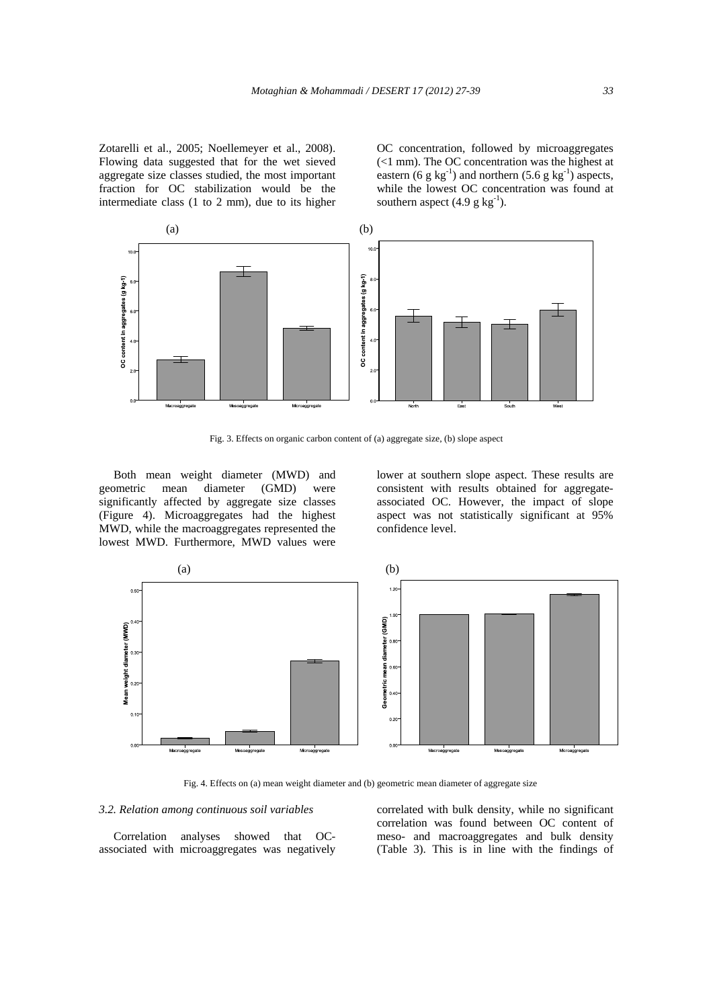Zotarelli et al., 2005; Noellemeyer et al., 2008). Flowing data suggested that for the wet sieved aggregate size classes studied, the most important fraction for OC stabilization would be the intermediate class (1 to 2 mm), due to its higher OC concentration, followed by microaggregates (<1 mm). The OC concentration was the highest at eastern (6 g  $kg^{-1}$ ) and northern (5.6 g  $kg^{-1}$ ) aspects, while the lowest OC concentration was found at southern aspect  $(4.9 \text{ g kg}^{-1})$ .



Fig. 3. Effects on organic carbon content of (a) aggregate size, (b) slope aspect

 Both mean weight diameter (MWD) and geometric mean diameter (GMD) were significantly affected by aggregate size classes (Figure 4). Microaggregates had the highest MWD, while the macroaggregates represented the lowest MWD. Furthermore, MWD values were

lower at southern slope aspect. These results are consistent with results obtained for aggregateassociated OC. However, the impact of slope aspect was not statistically significant at 95% confidence level.



Fig. 4. Effects on (a) mean weight diameter and (b) geometric mean diameter of aggregate size

## *3.2. Relation among continuous soil variables*

 Correlation analyses showed that OCassociated with microaggregates was negatively correlated with bulk density, while no significant correlation was found between OC content of meso- and macroaggregates and bulk density (Table 3). This is in line with the findings of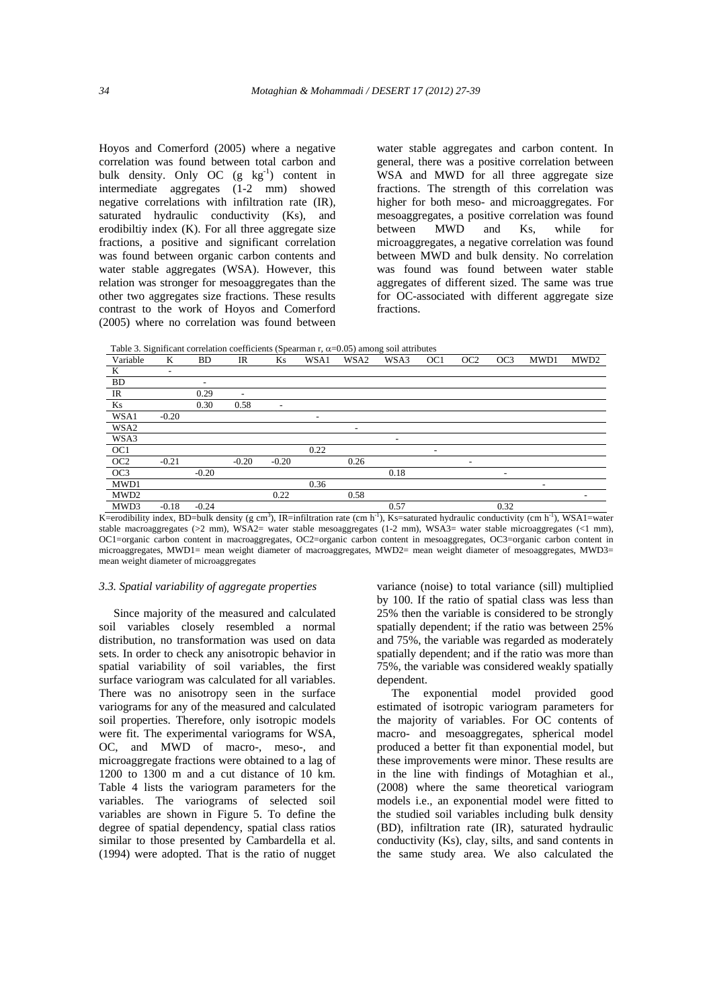Hoyos and Comerford (2005) where a negative correlation was found between total carbon and bulk density. Only OC  $(g \ kg^{-1})$  content in intermediate aggregates (1-2 mm) showed negative correlations with infiltration rate (IR), saturated hydraulic conductivity (Ks), and erodibiltiy index (K). For all three aggregate size fractions, a positive and significant correlation was found between organic carbon contents and water stable aggregates (WSA). However, this relation was stronger for mesoaggregates than the other two aggregates size fractions. These results contrast to the work of Hoyos and Comerford (2005) where no correlation was found between

water stable aggregates and carbon content. In general, there was a positive correlation between WSA and MWD for all three aggregate size fractions. The strength of this correlation was higher for both meso- and microaggregates. For mesoaggregates, a positive correlation was found between MWD and Ks, while for microaggregates, a negative correlation was found between MWD and bulk density. No correlation was found was found between water stable aggregates of different sized. The same was true for OC-associated with different aggregate size fractions.

Table 3. Significant correlation coefficients (Spearman r,  $\alpha$ =0.05) among soil attributes

| Variable        | K                        | <b>BD</b>                | IR      | Ks                       | WSA1           | WSA2                     | WSA3                     | OC <sub>1</sub>          | OC <sub>2</sub> | OC <sub>3</sub>              | MWD1 | MWD <sub>2</sub> |
|-----------------|--------------------------|--------------------------|---------|--------------------------|----------------|--------------------------|--------------------------|--------------------------|-----------------|------------------------------|------|------------------|
| K               | $\overline{\phantom{a}}$ |                          |         |                          |                |                          |                          |                          |                 |                              |      |                  |
| <b>BD</b>       |                          | $\overline{\phantom{0}}$ |         |                          |                |                          |                          |                          |                 |                              |      |                  |
| IR              |                          | 0.29                     | ۰       |                          |                |                          |                          |                          |                 |                              |      |                  |
| Ks              |                          | 0.30                     | 0.58    | $\overline{\phantom{0}}$ |                |                          |                          |                          |                 |                              |      |                  |
| WSA1            | $-0.20$                  |                          |         |                          | $\overline{a}$ |                          |                          |                          |                 |                              |      |                  |
| WSA2            |                          |                          |         |                          |                | $\overline{\phantom{0}}$ |                          |                          |                 |                              |      |                  |
| WSA3            |                          |                          |         |                          |                |                          | $\overline{\phantom{0}}$ |                          |                 |                              |      |                  |
| OC1             |                          |                          |         |                          | 0.22           |                          |                          | $\overline{\phantom{0}}$ |                 |                              |      |                  |
| OC <sub>2</sub> | $-0.21$                  |                          | $-0.20$ | $-0.20$                  |                | 0.26                     |                          |                          |                 |                              |      |                  |
| OC3             |                          | $-0.20$                  |         |                          |                |                          | 0.18                     |                          |                 | $\qquad \qquad \blacksquare$ |      |                  |
| MWD1            |                          |                          |         |                          | 0.36           |                          |                          |                          |                 |                              | -    |                  |
| MWD2            |                          |                          |         | 0.22                     |                | 0.58                     |                          |                          |                 |                              |      |                  |
| MWD3            | $-0.18$                  | $-0.24$                  |         |                          |                |                          | 0.57                     |                          |                 | 0.32                         |      |                  |

K=erodibility index, BD=bulk density (g cm<sup>3</sup>), IR=infiltration rate (cm h<sup>-1</sup>), Ks=saturated hydraulic conductivity (cm h<sup>-1</sup>), WSA1=water stable macroaggregates (>2 mm), WSA2= water stable mesoaggregates (1-2 mm), WSA3= water stable microaggregates (<1 mm), OC1=organic carbon content in macroaggregates, OC2=organic carbon content in mesoaggregates, OC3=organic carbon content in microaggregates, MWD1= mean weight diameter of macroaggregates, MWD2= mean weight diameter of mesoaggregates, MWD3= mean weight diameter of microaggregates

#### *3.3. Spatial variability of aggregate properties*

 Since majority of the measured and calculated soil variables closely resembled a normal distribution, no transformation was used on data sets. In order to check any anisotropic behavior in spatial variability of soil variables, the first surface variogram was calculated for all variables. There was no anisotropy seen in the surface variograms for any of the measured and calculated soil properties. Therefore, only isotropic models were fit. The experimental variograms for WSA, OC, and MWD of macro-, meso-, and microaggregate fractions were obtained to a lag of 1200 to 1300 m and a cut distance of 10 km. Table 4 lists the variogram parameters for the variables. The variograms of selected soil variables are shown in Figure 5. To define the degree of spatial dependency, spatial class ratios similar to those presented by Cambardella et al. (1994) were adopted. That is the ratio of nugget variance (noise) to total variance (sill) multiplied by 100. If the ratio of spatial class was less than 25% then the variable is considered to be strongly spatially dependent; if the ratio was between 25% and 75%, the variable was regarded as moderately spatially dependent; and if the ratio was more than 75%, the variable was considered weakly spatially dependent.

 The exponential model provided good estimated of isotropic variogram parameters for the majority of variables. For OC contents of macro- and mesoaggregates, spherical model produced a better fit than exponential model, but these improvements were minor. These results are in the line with findings of Motaghian et al., (2008) where the same theoretical variogram models i.e., an exponential model were fitted to the studied soil variables including bulk density (BD), infiltration rate (IR), saturated hydraulic conductivity (Ks), clay, silts, and sand contents in the same study area. We also calculated the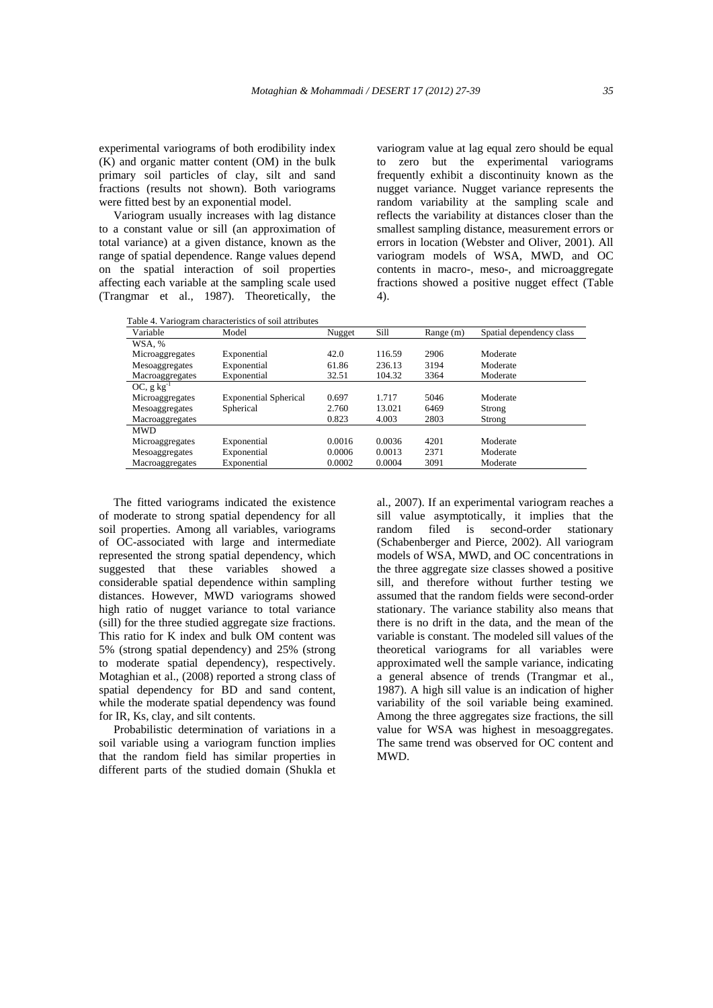experimental variograms of both erodibility index (K) and organic matter content (OM) in the bulk primary soil particles of clay, silt and sand fractions (results not shown). Both variograms were fitted best by an exponential model.

 Variogram usually increases with lag distance to a constant value or sill (an approximation of total variance) at a given distance, known as the range of spatial dependence. Range values depend on the spatial interaction of soil properties affecting each variable at the sampling scale used (Trangmar et al., 1987). Theoretically, the

variogram value at lag equal zero should be equal to zero but the experimental variograms frequently exhibit a discontinuity known as the nugget variance. Nugget variance represents the random variability at the sampling scale and reflects the variability at distances closer than the smallest sampling distance, measurement errors or errors in location (Webster and Oliver, 2001). All variogram models of WSA, MWD, and OC contents in macro-, meso-, and microaggregate fractions showed a positive nugget effect (Table 4).

| Variable           | Model                        | Nugget | Sill   | Range (m) | Spatial dependency class |
|--------------------|------------------------------|--------|--------|-----------|--------------------------|
| WSA, %             |                              |        |        |           |                          |
| Microaggregates    | Exponential                  | 42.0   | 116.59 | 2906      | Moderate                 |
| Mesoaggregates     | Exponential                  | 61.86  | 236.13 | 3194      | Moderate                 |
| Macroaggregates    | Exponential                  | 32.51  | 104.32 | 3364      | Moderate                 |
| $OC$ , g $kg^{-1}$ |                              |        |        |           |                          |
| Microaggregates    | <b>Exponential Spherical</b> | 0.697  | 1.717  | 5046      | Moderate                 |
| Mesoaggregates     | Spherical                    | 2.760  | 13.021 | 6469      | Strong                   |
| Macroaggregates    |                              | 0.823  | 4.003  | 2803      | Strong                   |
| <b>MWD</b>         |                              |        |        |           |                          |
| Microaggregates    | Exponential                  | 0.0016 | 0.0036 | 4201      | Moderate                 |
| Mesoaggregates     | Exponential                  | 0.0006 | 0.0013 | 2371      | Moderate                 |
| Macroaggregates    | Exponential                  | 0.0002 | 0.0004 | 3091      | Moderate                 |

 The fitted variograms indicated the existence of moderate to strong spatial dependency for all soil properties. Among all variables, variograms of OC-associated with large and intermediate represented the strong spatial dependency, which suggested that these variables showed a considerable spatial dependence within sampling distances. However, MWD variograms showed high ratio of nugget variance to total variance (sill) for the three studied aggregate size fractions. This ratio for K index and bulk OM content was 5% (strong spatial dependency) and 25% (strong to moderate spatial dependency), respectively. Motaghian et al., (2008) reported a strong class of spatial dependency for BD and sand content, while the moderate spatial dependency was found for IR, Ks, clay, and silt contents.

 Probabilistic determination of variations in a soil variable using a variogram function implies that the random field has similar properties in different parts of the studied domain (Shukla et al., 2007). If an experimental variogram reaches a sill value asymptotically, it implies that the random filed is second-order stationary (Schabenberger and Pierce, 2002). All variogram models of WSA, MWD, and OC concentrations in the three aggregate size classes showed a positive sill, and therefore without further testing we assumed that the random fields were second-order stationary. The variance stability also means that there is no drift in the data, and the mean of the variable is constant. The modeled sill values of the theoretical variograms for all variables were approximated well the sample variance, indicating a general absence of trends (Trangmar et al., 1987). A high sill value is an indication of higher variability of the soil variable being examined. Among the three aggregates size fractions, the sill value for WSA was highest in mesoaggregates. The same trend was observed for OC content and MWD.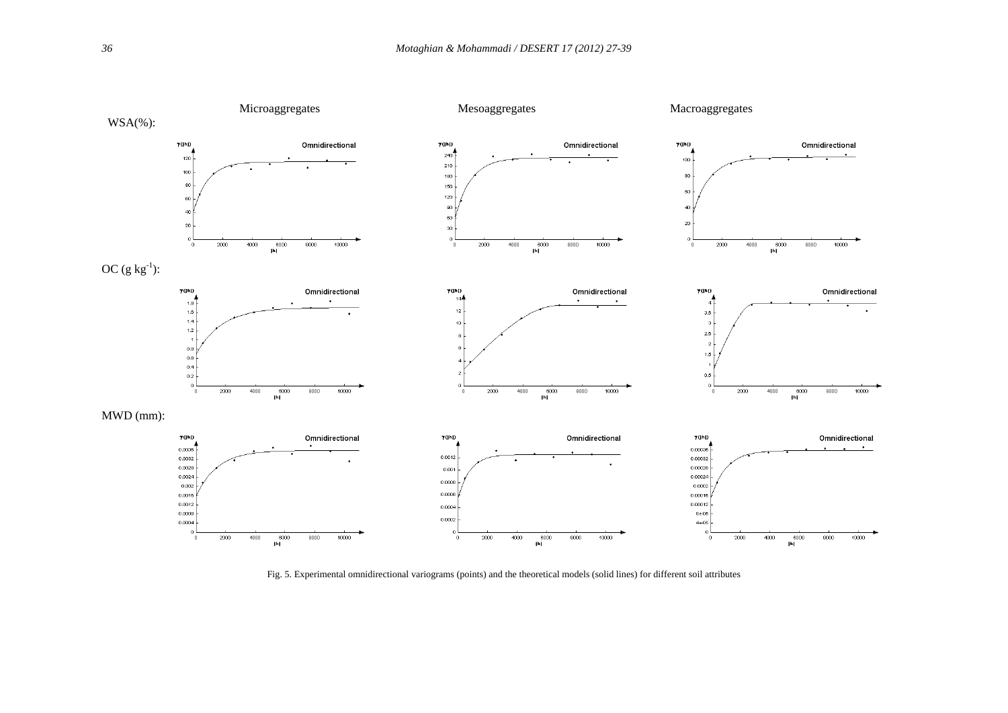

Fig. 5. Experimental omnidirectional variograms (points) and the theoretical models (solid lines) for different soil attributes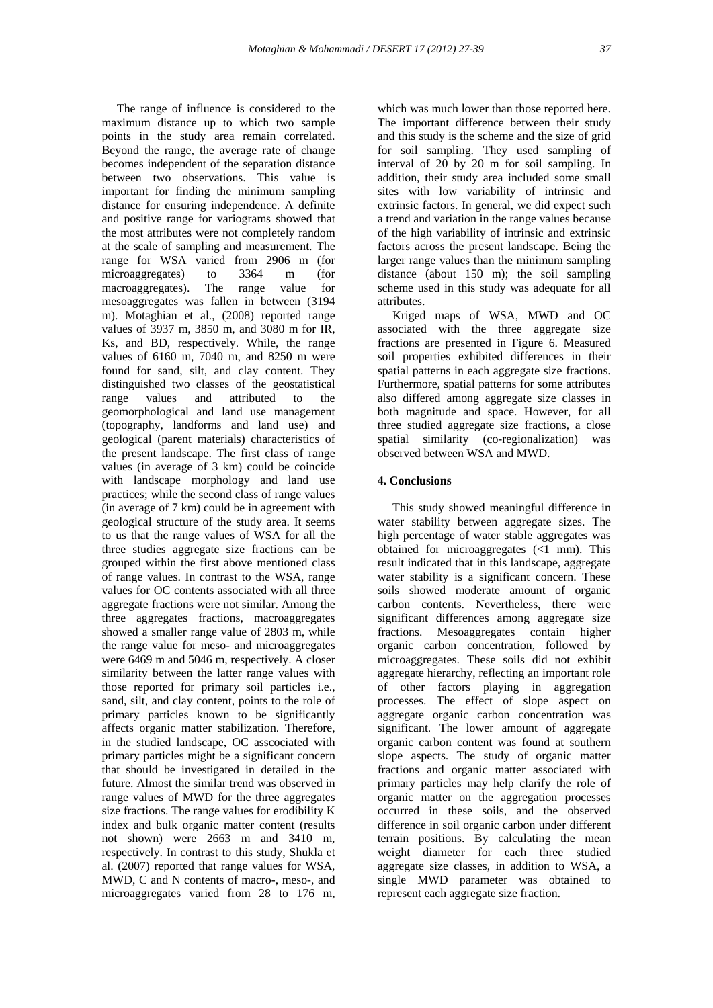The range of influence is considered to the maximum distance up to which two sample points in the study area remain correlated. Beyond the range, the average rate of change becomes independent of the separation distance between two observations. This value is important for finding the minimum sampling distance for ensuring independence. A definite and positive range for variograms showed that the most attributes were not completely random at the scale of sampling and measurement. The range for WSA varied from 2906 m (for microaggregates) to 3364 m (for microaggregates) to 3364 m (for macroaggregates). The range value for mesoaggregates was fallen in between (3194 m). Motaghian et al., (2008) reported range values of 3937 m, 3850 m, and 3080 m for IR, Ks, and BD, respectively. While, the range values of 6160 m, 7040 m, and 8250 m were found for sand, silt, and clay content. They distinguished two classes of the geostatistical range values and attributed to the geomorphological and land use management (topography, landforms and land use) and geological (parent materials) characteristics of the present landscape. The first class of range values (in average of 3 km) could be coincide with landscape morphology and land use practices; while the second class of range values (in average of 7 km) could be in agreement with geological structure of the study area. It seems to us that the range values of WSA for all the three studies aggregate size fractions can be grouped within the first above mentioned class of range values. In contrast to the WSA, range values for OC contents associated with all three aggregate fractions were not similar. Among the three aggregates fractions, macroaggregates showed a smaller range value of 2803 m, while the range value for meso- and microaggregates were 6469 m and 5046 m, respectively. A closer similarity between the latter range values with those reported for primary soil particles i.e., sand, silt, and clay content, points to the role of primary particles known to be significantly affects organic matter stabilization. Therefore, in the studied landscape, OC asscociated with primary particles might be a significant concern that should be investigated in detailed in the future. Almost the similar trend was observed in range values of MWD for the three aggregates size fractions. The range values for erodibility K index and bulk organic matter content (results not shown) were 2663 m and 3410 m, respectively. In contrast to this study, Shukla et al. (2007) reported that range values for WSA, MWD, C and N contents of macro-, meso-, and microaggregates varied from 28 to 176 m,

which was much lower than those reported here. The important difference between their study and this study is the scheme and the size of grid for soil sampling. They used sampling of interval of 20 by 20 m for soil sampling. In addition, their study area included some small sites with low variability of intrinsic and extrinsic factors. In general, we did expect such a trend and variation in the range values because of the high variability of intrinsic and extrinsic factors across the present landscape. Being the larger range values than the minimum sampling distance (about 150 m); the soil sampling scheme used in this study was adequate for all attributes.

 Kriged maps of WSA, MWD and OC associated with the three aggregate size fractions are presented in Figure 6. Measured soil properties exhibited differences in their spatial patterns in each aggregate size fractions. Furthermore, spatial patterns for some attributes also differed among aggregate size classes in both magnitude and space. However, for all three studied aggregate size fractions, a close spatial similarity (co-regionalization) was observed between WSA and MWD.

## **4. Conclusions**

 This study showed meaningful difference in water stability between aggregate sizes. The high percentage of water stable aggregates was obtained for microaggregates (<1 mm). This result indicated that in this landscape, aggregate water stability is a significant concern. These soils showed moderate amount of organic carbon contents. Nevertheless, there were significant differences among aggregate size fractions. Mesoaggregates contain higher organic carbon concentration, followed by microaggregates. These soils did not exhibit aggregate hierarchy, reflecting an important role of other factors playing in aggregation processes. The effect of slope aspect on aggregate organic carbon concentration was significant. The lower amount of aggregate organic carbon content was found at southern slope aspects. The study of organic matter fractions and organic matter associated with primary particles may help clarify the role of organic matter on the aggregation processes occurred in these soils, and the observed difference in soil organic carbon under different terrain positions. By calculating the mean weight diameter for each three studied aggregate size classes, in addition to WSA, a single MWD parameter was obtained to represent each aggregate size fraction.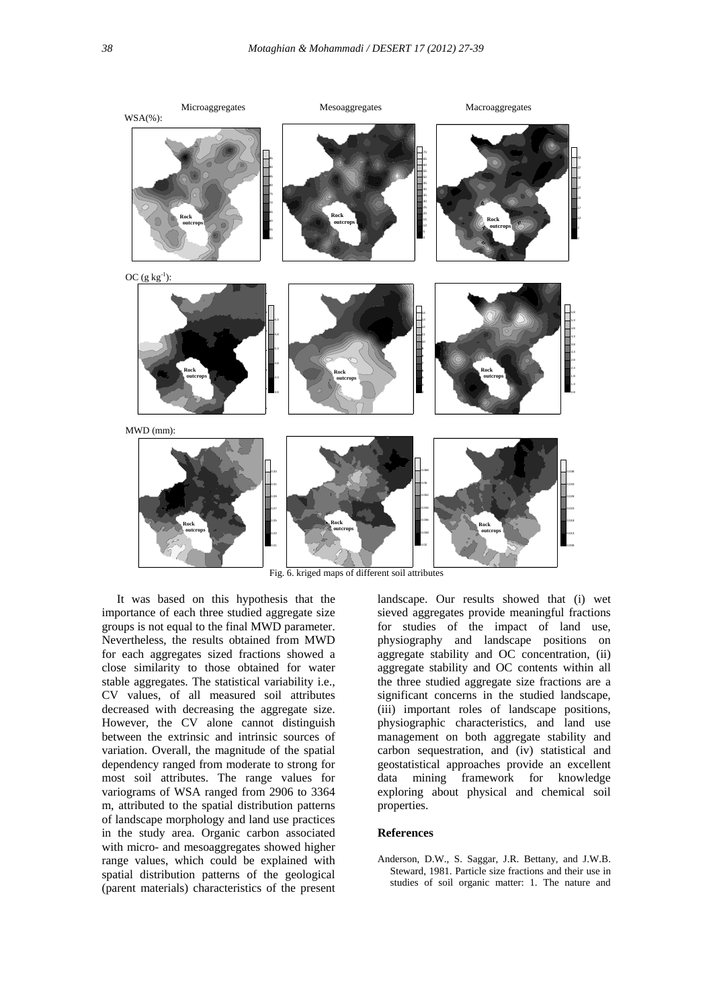

 It was based on this hypothesis that the importance of each three studied aggregate size groups is not equal to the final MWD parameter. Nevertheless, the results obtained from MWD for each aggregates sized fractions showed a close similarity to those obtained for water stable aggregates. The statistical variability i.e., CV values, of all measured soil attributes decreased with decreasing the aggregate size. However, the CV alone cannot distinguish between the extrinsic and intrinsic sources of variation. Overall, the magnitude of the spatial dependency ranged from moderate to strong for most soil attributes. The range values for variograms of WSA ranged from 2906 to 3364 m, attributed to the spatial distribution patterns of landscape morphology and land use practices in the study area. Organic carbon associated with micro- and mesoaggregates showed higher range values, which could be explained with spatial distribution patterns of the geological (parent materials) characteristics of the present

landscape. Our results showed that (i) wet sieved aggregates provide meaningful fractions for studies of the impact of land use, physiography and landscape positions on aggregate stability and OC concentration, (ii) aggregate stability and OC contents within all the three studied aggregate size fractions are a significant concerns in the studied landscape, (iii) important roles of landscape positions, physiographic characteristics, and land use management on both aggregate stability and carbon sequestration, and (iv) statistical and geostatistical approaches provide an excellent data mining framework for knowledge exploring about physical and chemical soil properties.

## **References**

Anderson, D.W., S. Saggar, J.R. Bettany, and J.W.B. Steward, 1981. Particle size fractions and their use in studies of soil organic matter: 1. The nature and